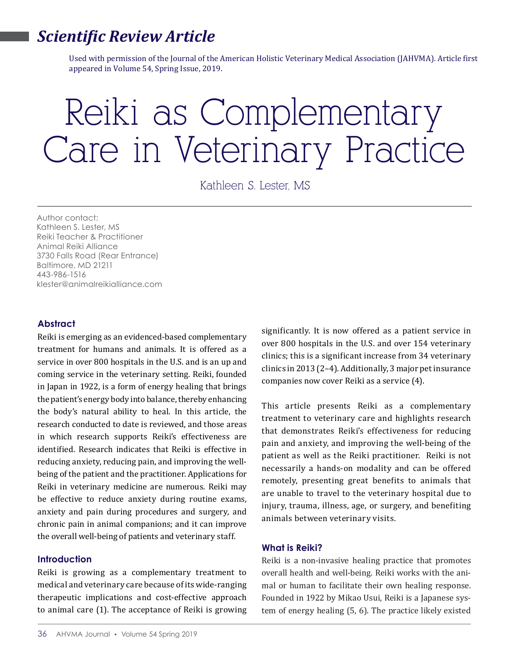### *Scientific Review Article*

Used with permission of the Journal of the American Holistic Veterinary Medical Association (JAHVMA). Article first appeared in Volume 54, Spring Issue, 2019.

# Reiki as Complementary Care in Veterinary Practice

Kathleen S. Lester, MS

Author contact: Kathleen S. Lester, MS Reiki Teacher & Practitioner Animal Reiki Alliance 3730 Falls Road (Rear Entrance) Baltimore, MD 21211 443-986-1516 klester@animalreikialliance.com

#### **Abstract**

Reiki is emerging as an evidenced-based complementary treatment for humans and animals. It is offered as a service in over 800 hospitals in the U.S. and is an up and coming service in the veterinary setting. Reiki, founded in Japan in 1922, is a form of energy healing that brings the patient's energy body into balance, thereby enhancing the body's natural ability to heal. In this article, the research conducted to date is reviewed, and those areas in which research supports Reiki's effectiveness are identified. Research indicates that Reiki is effective in reducing anxiety, reducing pain, and improving the wellbeing of the patient and the practitioner. Applications for Reiki in veterinary medicine are numerous. Reiki may be effective to reduce anxiety during routine exams, anxiety and pain during procedures and surgery, and chronic pain in animal companions; and it can improve the overall well-being of patients and veterinary staff.

#### **Introduction**

Reiki is growing as a complementary treatment to medical and veterinary care because of its wide-ranging therapeutic implications and cost-effective approach to animal care (1). The acceptance of Reiki is growing

significantly. It is now offered as a patient service in over 800 hospitals in the U.S. and over 154 veterinary clinics; this is a significant increase from 34 veterinary clinics in 2013 (2–4). Additionally, 3 major pet insurance companies now cover Reiki as a service (4).

This article presents Reiki as a complementary treatment to veterinary care and highlights research that demonstrates Reiki's effectiveness for reducing pain and anxiety, and improving the well-being of the patient as well as the Reiki practitioner. Reiki is not necessarily a hands-on modality and can be offered remotely, presenting great benefits to animals that are unable to travel to the veterinary hospital due to injury, trauma, illness, age, or surgery, and benefiting animals between veterinary visits.

#### **What is Reiki?**

Reiki is a non-invasive healing practice that promotes overall health and well-being. Reiki works with the animal or human to facilitate their own healing response. Founded in 1922 by Mikao Usui, Reiki is a Japanese system of energy healing (5, 6). The practice likely existed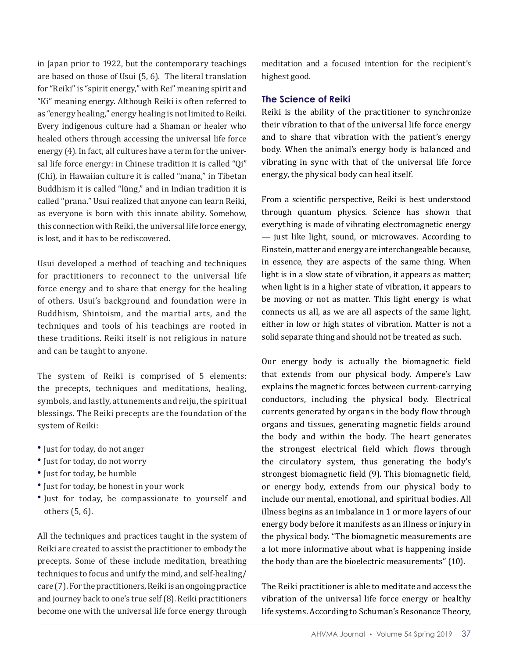in Japan prior to 1922, but the contemporary teachings are based on those of Usui (5, 6). The literal translation for "Reiki" is "spirit energy," with Rei" meaning spirit and "Ki" meaning energy. Although Reiki is often referred to as "energy healing," energy healing is not limited to Reiki. Every indigenous culture had a Shaman or healer who healed others through accessing the universal life force energy (4). In fact, all cultures have a term for the universal life force energy: in Chinese tradition it is called "Qi" (Chi), in Hawaiian culture it is called "mana," in Tibetan Buddhism it is called "lüng," and in Indian tradition it is called "prana." Usui realized that anyone can learn Reiki, as everyone is born with this innate ability. Somehow, this connection with Reiki, the universal life force energy, is lost, and it has to be rediscovered.

Usui developed a method of teaching and techniques for practitioners to reconnect to the universal life force energy and to share that energy for the healing of others. Usui's background and foundation were in Buddhism, Shintoism, and the martial arts, and the techniques and tools of his teachings are rooted in these traditions. Reiki itself is not religious in nature and can be taught to anyone.

The system of Reiki is comprised of 5 elements: the precepts, techniques and meditations, healing, symbols, and lastly, attunements and reiju, the spiritual blessings. The Reiki precepts are the foundation of the system of Reiki:

- Just for today, do not anger
- Just for today, do not worry
- Just for today, be humble
- Just for today, be honest in your work
- Just for today, be compassionate to yourself and others (5, 6).

All the techniques and practices taught in the system of Reiki are created to assist the practitioner to embody the precepts. Some of these include meditation, breathing techniques to focus and unify the mind, and self-healing/ care (7). For the practitioners, Reiki is an ongoing practice and journey back to one's true self (8). Reiki practitioners become one with the universal life force energy through

meditation and a focused intention for the recipient's highest good.

#### **The Science of Reiki**

Reiki is the ability of the practitioner to synchronize their vibration to that of the universal life force energy and to share that vibration with the patient's energy body. When the animal's energy body is balanced and vibrating in sync with that of the universal life force energy, the physical body can heal itself.

From a scientific perspective, Reiki is best understood through quantum physics. Science has shown that everything is made of vibrating electromagnetic energy — just like light, sound, or microwaves. According to Einstein, matter and energy are interchangeable because, in essence, they are aspects of the same thing. When light is in a slow state of vibration, it appears as matter; when light is in a higher state of vibration, it appears to be moving or not as matter. This light energy is what connects us all, as we are all aspects of the same light, either in low or high states of vibration. Matter is not a solid separate thing and should not be treated as such.

Our energy body is actually the biomagnetic field that extends from our physical body. Ampere's Law explains the magnetic forces between current-carrying conductors, including the physical body. Electrical currents generated by organs in the body flow through organs and tissues, generating magnetic fields around the body and within the body. The heart generates the strongest electrical field which flows through the circulatory system, thus generating the body's strongest biomagnetic field (9). This biomagnetic field, or energy body, extends from our physical body to include our mental, emotional, and spiritual bodies. All illness begins as an imbalance in 1 or more layers of our energy body before it manifests as an illness or injury in the physical body. "The biomagnetic measurements are a lot more informative about what is happening inside the body than are the bioelectric measurements" (10).

The Reiki practitioner is able to meditate and access the vibration of the universal life force energy or healthy life systems. According to Schuman's Resonance Theory,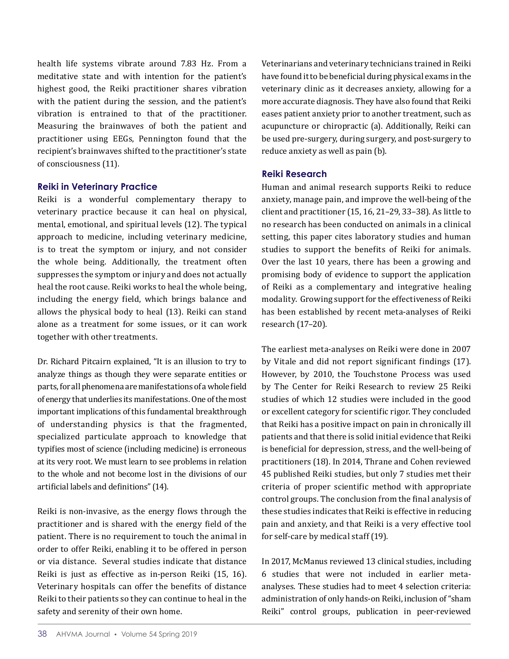health life systems vibrate around 7.83 Hz. From a meditative state and with intention for the patient's highest good, the Reiki practitioner shares vibration with the patient during the session, and the patient's vibration is entrained to that of the practitioner. Measuring the brainwaves of both the patient and practitioner using EEGs, Pennington found that the recipient's brainwaves shifted to the practitioner's state of consciousness (11).

#### **Reiki in Veterinary Practice**

Reiki is a wonderful complementary therapy to veterinary practice because it can heal on physical, mental, emotional, and spiritual levels (12). The typical approach to medicine, including veterinary medicine, is to treat the symptom or injury, and not consider the whole being. Additionally, the treatment often suppresses the symptom or injury and does not actually heal the root cause. Reiki works to heal the whole being, including the energy field, which brings balance and allows the physical body to heal (13). Reiki can stand alone as a treatment for some issues, or it can work together with other treatments.

Dr. Richard Pitcairn explained, "It is an illusion to try to analyze things as though they were separate entities or parts, for all phenomena are manifestations of a whole field of energy that underlies its manifestations. One of the most important implications of this fundamental breakthrough of understanding physics is that the fragmented, specialized particulate approach to knowledge that typifies most of science (including medicine) is erroneous at its very root. We must learn to see problems in relation to the whole and not become lost in the divisions of our artificial labels and definitions" (14).

Reiki is non-invasive, as the energy flows through the practitioner and is shared with the energy field of the patient. There is no requirement to touch the animal in order to offer Reiki, enabling it to be offered in person or via distance. Several studies indicate that distance Reiki is just as effective as in-person Reiki (15, 16). Veterinary hospitals can offer the benefits of distance Reiki to their patients so they can continue to heal in the safety and serenity of their own home.

Veterinarians and veterinary technicians trained in Reiki have found it to be beneficial during physical exams in the veterinary clinic as it decreases anxiety, allowing for a more accurate diagnosis. They have also found that Reiki eases patient anxiety prior to another treatment, such as acupuncture or chiropractic (a). Additionally, Reiki can be used pre-surgery, during surgery, and post-surgery to reduce anxiety as well as pain (b).

#### **Reiki Research**

Human and animal research supports Reiki to reduce anxiety, manage pain, and improve the well-being of the client and practitioner (15, 16, 21–29, 33–38). As little to no research has been conducted on animals in a clinical setting, this paper cites laboratory studies and human studies to support the benefits of Reiki for animals. Over the last 10 years, there has been a growing and promising body of evidence to support the application of Reiki as a complementary and integrative healing modality. Growing support for the effectiveness of Reiki has been established by recent meta-analyses of Reiki research (17–20).

The earliest meta-analyses on Reiki were done in 2007 by Vitale and did not report significant findings (17). However, by 2010, the Touchstone Process was used by The Center for Reiki Research to review 25 Reiki studies of which 12 studies were included in the good or excellent category for scientific rigor. They concluded that Reiki has a positive impact on pain in chronically ill patients and that there is solid initial evidence that Reiki is beneficial for depression, stress, and the well-being of practitioners (18). In 2014, Thrane and Cohen reviewed 45 published Reiki studies, but only 7 studies met their criteria of proper scientific method with appropriate control groups. The conclusion from the final analysis of these studies indicates that Reiki is effective in reducing pain and anxiety, and that Reiki is a very effective tool for self-care by medical staff (19).

In 2017, McManus reviewed 13 clinical studies, including 6 studies that were not included in earlier metaanalyses. These studies had to meet 4 selection criteria: administration of only hands-on Reiki, inclusion of "sham Reiki" control groups, publication in peer-reviewed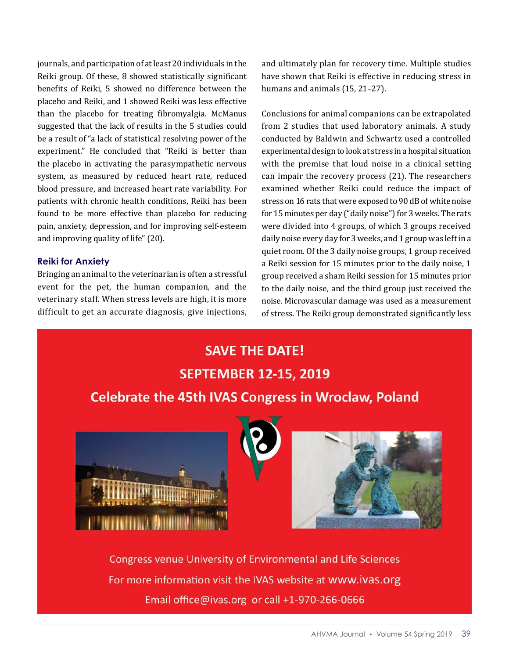journals, and participation of at least 20 individuals in the Reiki group. Of these, 8 showed statistically significant benefits of Reiki, 5 showed no difference between the placebo and Reiki, and 1 showed Reiki was less effective than the placebo for treating fibromyalgia. McManus suggested that the lack of results in the 5 studies could be a result of "a lack of statistical resolving power of the experiment." He concluded that "Reiki is better than the placebo in activating the parasympathetic nervous system, as measured by reduced heart rate, reduced blood pressure, and increased heart rate variability. For patients with chronic health conditions, Reiki has been found to be more effective than placebo for reducing pain, anxiety, depression, and for improving self-esteem and improving quality of life" (20).

#### **Reiki for Anxiety**

Bringing an animal to the veterinarian is often a stressful event for the pet, the human companion, and the veterinary staff. When stress levels are high, it is more difficult to get an accurate diagnosis, give injections,

and ultimately plan for recovery time. Multiple studies have shown that Reiki is effective in reducing stress in humans and animals (15, 21–27).

Conclusions for animal companions can be extrapolated from 2 studies that used laboratory animals. A study conducted by Baldwin and Schwartz used a controlled experimental design to look at stress in a hospital situation with the premise that loud noise in a clinical setting can impair the recovery process (21). The researchers examined whether Reiki could reduce the impact of stress on 16 rats that were exposed to 90 dB of white noise for 15 minutes per day ("daily noise") for 3 weeks. The rats were divided into 4 groups, of which 3 groups received daily noise every day for 3 weeks, and 1 group was left in a quiet room. Of the 3 daily noise groups, 1 group received a Reiki session for 15 minutes prior to the daily noise, 1 group received a sham Reiki session for 15 minutes prior to the daily noise, and the third group just received the noise. Microvascular damage was used as a measurement of stress. The Reiki group demonstrated significantly less

## **SAVE THE DATE! SEPTEMBER 12-15, 2019 Celebrate the 45th IVAS Congress in Wroclaw, Poland**







**Congress venue University of Environmental and Life Sciences** For more information visit the IVAS website at WWW.ivas.org Email office@ivas.org or call +1-970-266-0666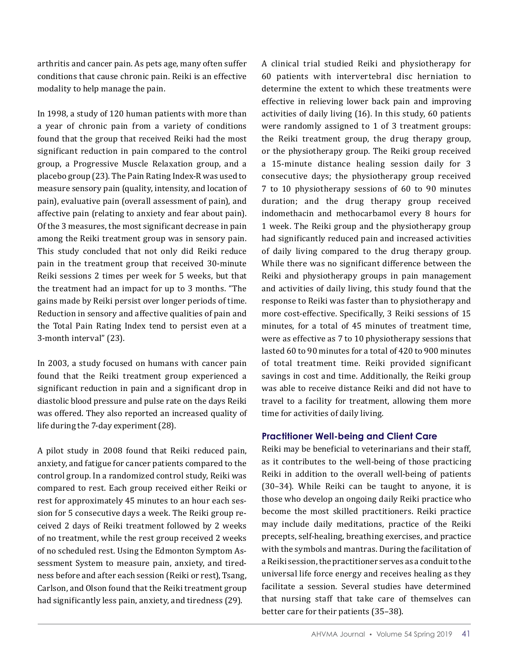arthritis and cancer pain. As pets age, many often suffer conditions that cause chronic pain. Reiki is an effective modality to help manage the pain.

In 1998, a study of 120 human patients with more than a year of chronic pain from a variety of conditions found that the group that received Reiki had the most significant reduction in pain compared to the control group, a Progressive Muscle Relaxation group, and a placebo group (23). The Pain Rating Index-R was used to measure sensory pain (quality, intensity, and location of pain), evaluative pain (overall assessment of pain), and affective pain (relating to anxiety and fear about pain). Of the 3 measures, the most significant decrease in pain among the Reiki treatment group was in sensory pain. This study concluded that not only did Reiki reduce pain in the treatment group that received 30-minute Reiki sessions 2 times per week for 5 weeks, but that the treatment had an impact for up to 3 months. "The gains made by Reiki persist over longer periods of time. Reduction in sensory and affective qualities of pain and the Total Pain Rating Index tend to persist even at a 3-month interval" (23).

In 2003, a study focused on humans with cancer pain found that the Reiki treatment group experienced a significant reduction in pain and a significant drop in diastolic blood pressure and pulse rate on the days Reiki was offered. They also reported an increased quality of life during the 7-day experiment (28).

A pilot study in 2008 found that Reiki reduced pain, anxiety, and fatigue for cancer patients compared to the control group. In a randomized control study, Reiki was compared to rest. Each group received either Reiki or rest for approximately 45 minutes to an hour each session for 5 consecutive days a week. The Reiki group received 2 days of Reiki treatment followed by 2 weeks of no treatment, while the rest group received 2 weeks of no scheduled rest. Using the Edmonton Symptom Assessment System to measure pain, anxiety, and tiredness before and after each session (Reiki or rest), Tsang, Carlson, and Olson found that the Reiki treatment group had significantly less pain, anxiety, and tiredness (29).

A clinical trial studied Reiki and physiotherapy for 60 patients with intervertebral disc herniation to determine the extent to which these treatments were effective in relieving lower back pain and improving activities of daily living (16). In this study, 60 patients were randomly assigned to 1 of 3 treatment groups: the Reiki treatment group, the drug therapy group, or the physiotherapy group. The Reiki group received a 15-minute distance healing session daily for 3 consecutive days; the physiotherapy group received 7 to 10 physiotherapy sessions of 60 to 90 minutes duration; and the drug therapy group received indomethacin and methocarbamol every 8 hours for 1 week. The Reiki group and the physiotherapy group had significantly reduced pain and increased activities of daily living compared to the drug therapy group. While there was no significant difference between the Reiki and physiotherapy groups in pain management and activities of daily living, this study found that the response to Reiki was faster than to physiotherapy and more cost-effective. Specifically, 3 Reiki sessions of 15 minutes, for a total of 45 minutes of treatment time, were as effective as 7 to 10 physiotherapy sessions that lasted 60 to 90 minutes for a total of 420 to 900 minutes of total treatment time. Reiki provided significant savings in cost and time. Additionally, the Reiki group was able to receive distance Reiki and did not have to travel to a facility for treatment, allowing them more time for activities of daily living.

#### **Practitioner Well-being and Client Care**

Reiki may be beneficial to veterinarians and their staff, as it contributes to the well-being of those practicing Reiki in addition to the overall well-being of patients (30–34). While Reiki can be taught to anyone, it is those who develop an ongoing daily Reiki practice who become the most skilled practitioners. Reiki practice may include daily meditations, practice of the Reiki precepts, self-healing, breathing exercises, and practice with the symbols and mantras. During the facilitation of a Reiki session, the practitioner serves as a conduit to the universal life force energy and receives healing as they facilitate a session. Several studies have determined that nursing staff that take care of themselves can better care for their patients (35–38).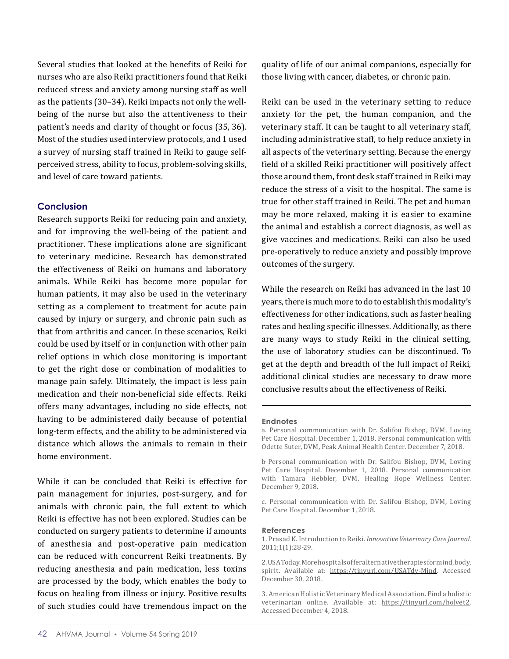Several studies that looked at the benefits of Reiki for nurses who are also Reiki practitioners found that Reiki reduced stress and anxiety among nursing staff as well as the patients (30–34). Reiki impacts not only the wellbeing of the nurse but also the attentiveness to their patient's needs and clarity of thought or focus (35, 36). Most of the studies used interview protocols, and 1 used a survey of nursing staff trained in Reiki to gauge selfperceived stress, ability to focus, problem-solving skills, and level of care toward patients.

#### **Conclusion**

Research supports Reiki for reducing pain and anxiety, and for improving the well-being of the patient and practitioner. These implications alone are significant to veterinary medicine. Research has demonstrated the effectiveness of Reiki on humans and laboratory animals. While Reiki has become more popular for human patients, it may also be used in the veterinary setting as a complement to treatment for acute pain caused by injury or surgery, and chronic pain such as that from arthritis and cancer. In these scenarios, Reiki could be used by itself or in conjunction with other pain relief options in which close monitoring is important to get the right dose or combination of modalities to manage pain safely. Ultimately, the impact is less pain medication and their non-beneficial side effects. Reiki offers many advantages, including no side effects, not having to be administered daily because of potential long-term effects, and the ability to be administered via distance which allows the animals to remain in their home environment.

While it can be concluded that Reiki is effective for pain management for injuries, post-surgery, and for animals with chronic pain, the full extent to which Reiki is effective has not been explored. Studies can be conducted on surgery patients to determine if amounts of anesthesia and post-operative pain medication can be reduced with concurrent Reiki treatments. By reducing anesthesia and pain medication, less toxins are processed by the body, which enables the body to focus on healing from illness or injury. Positive results of such studies could have tremendous impact on the

quality of life of our animal companions, especially for those living with cancer, diabetes, or chronic pain.

Reiki can be used in the veterinary setting to reduce anxiety for the pet, the human companion, and the veterinary staff. It can be taught to all veterinary staff, including administrative staff, to help reduce anxiety in all aspects of the veterinary setting. Because the energy field of a skilled Reiki practitioner will positively affect those around them, front desk staff trained in Reiki may reduce the stress of a visit to the hospital. The same is true for other staff trained in Reiki. The pet and human may be more relaxed, making it is easier to examine the animal and establish a correct diagnosis, as well as give vaccines and medications. Reiki can also be used pre-operatively to reduce anxiety and possibly improve outcomes of the surgery.

While the research on Reiki has advanced in the last 10 years, there is much more to do to establish this modality's effectiveness for other indications, such as faster healing rates and healing specific illnesses. Additionally, as there are many ways to study Reiki in the clinical setting, the use of laboratory studies can be discontinued. To get at the depth and breadth of the full impact of Reiki, additional clinical studies are necessary to draw more conclusive results about the effectiveness of Reiki.

#### **Endnotes**

a. Personal communication with Dr. Salifou Bishop, DVM, Loving Pet Care Hospital. December 1, 2018. Personal communication with Odette Suter, DVM, Peak Animal Health Center. December 7, 2018.

#### **References**

1. Prasad K. Introduction to Reiki. *Innovative Veterinary Care Journal*. 2011;1(1):28-29.

2. USA Today. More hospitals offer alternative therapies for mind, body, spirit. Available at: https://tinyurl.com/USATdy-Mind. Accessed December 30, 2018.

3. American Holistic Veterinary Medical Association. Find a holistic veterinarian online. Available at: https://tinyurl.com/holvet2. Accessed December 4, 2018.

b. Personal communication with Dr. Salifou Bishop, DVM, Loving Pet Care Hospital. December 1, 2018. Personal communication with Tamara Hebbler, DVM, Healing Hope Wellness Center. December 9, 2018.

c. Personal communication with Dr. Salifou Bishop, DVM, Loving Pet Care Hospital. December 1, 2018.